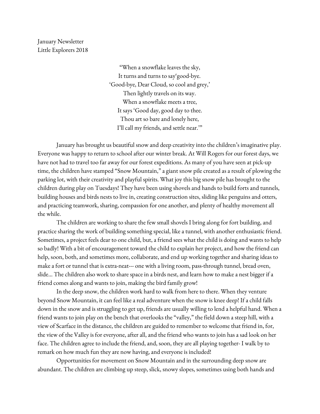January Newsletter Little Explorers 2018

> "When a snowflake leaves the sky, It turns and turns to say'good-bye. 'Good-bye, Dear Cloud, so cool and grey,' Then lightly travels on its way. When a snowflake meets a tree, It says 'Good day, good day to thee. Thou art so bare and lonely here, I'll call my friends, and settle near.'"

January has brought us beautiful snow and deep creativity into the children's imaginative play. Everyone was happy to return to school after our winter break. At Will Rogers for our forest days, we have not had to travel too far away for our forest expeditions. As many of you have seen at pick-up time, the children have stamped "Snow Mountain," a giant snow pile created as a result of plowing the parking lot, with their creativity and playful spirits. What joy this big snow pile has brought to the children during play on Tuesdays! They have been using shovels and hands to build forts and tunnels, building houses and birds nests to live in, creating construction sites, sliding like penguins and otters, and practicing teamwork, sharing, compassion for one another, and plenty of healthy movement all the while.

The children are working to share the few small shovels I bring along for fort building, and practice sharing the work of building something special, like a tunnel, with another enthusiastic friend. Sometimes, a project feels dear to one child, but, a friend sees what the child is doing and wants to help so badly! With a bit of encouragement toward the child to explain her project, and how the friend can help, soon, both, and sometimes more, collaborate, and end up working together and sharing ideas to make a fort or tunnel that is extra-neat--- one with a living room, pass-through tunnel, bread oven, slide… The children also work to share space in a birds nest, and learn how to make a nest bigger if a friend comes along and wants to join, making the bird family grow!

In the deep snow, the children work hard to walk from here to there. When they venture beyond Snow Mountain, it can feel like a real adventure when the snow is knee deep! If a child falls down in the snow and is struggling to get up, friends are usually willing to lend a helpful hand. When a friend wants to join play on the bench that overlooks the "valley," the field down a steep hill, with a view of Scarface in the distance, the children are guided to remember to welcome that friend in, for, the view of the Valley is for everyone, after all, and the friend who wants to join has a sad look on her face. The children agree to include the friend, and, soon, they are all playing together- I walk by to remark on how much fun they are now having, and everyone is included!

Opportunities for movement on Snow Mountain and in the surrounding deep snow are abundant. The children are climbing up steep, slick, snowy slopes, sometimes using both hands and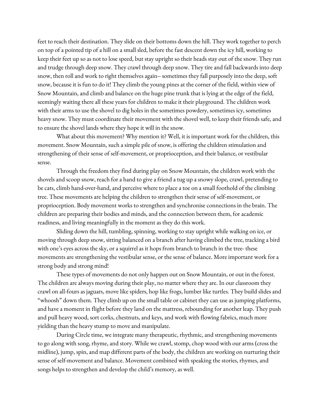feet to reach their destination. They slide on their bottoms down the hill. They work together to perch on top of a pointed tip of a hill on a small sled, before the fast descent down the icy hill, working to keep their feet up so as not to lose speed, but stay upright so their heads stay out of the snow. They run and trudge through deep snow. They crawl through deep snow. They tire and fall backwards into deep snow, then roll and work to right themselves again-- sometimes they fall purposely into the deep, soft snow, because it is fun to do it! They climb the young pines at the corner of the field, within view of Snow Mountain, and climb and balance on the huge pine trunk that is lying at the edge of the field, seemingly waiting there all these years for children to make it their playground. The children work with their arms to use the shovel to dig holes in the sometimes powdery, sometimes icy, sometimes heavy snow. They must coordinate their movement with the shovel well, to keep their friends safe, and to ensure the shovel lands where they hope it will in the snow.

What about this movement? Why mention it? Well, it is important work for the children, this movement. Snow Mountain, such a simple pile of snow, is offering the children stimulation and strengthening of their sense of self-movement, or proprioception, and their balance, or vestibular sense.

Through the freedom they find during play on Snow Mountain, the children work with the shovels and scoop snow, reach for a hand to give a friend a tug up a snowy slope, crawl, pretending to be cats, climb hand-over-hand, and perceive where to place a toe on a small foothold of the climbing tree. These movements are helping the children to strengthen their sense of self-movement, or proprioception. Body movement works to strengthen and synchronise connections in the brain. The children are preparing their bodies and minds, and the connection between them, for academic readiness, and living meaningfully in the moment as they do this work.

Sliding down the hill, tumbling, spinning, working to stay upright while walking on ice, or moving through deep snow, sitting balanced on a branch after having climbed the tree, tracking a bird with one's eyes across the sky, or a squirrel as it hops from branch to branch in the tree- these movements are strengthening the vestibular sense, or the sense of balance. More important work for a strong body and strong mind!

These types of movements do not only happen out on Snow Mountain, or out in the forest. The children are always moving during their play, no matter where they are. In our classroom they crawl on all-fours as jaguars, move like spiders, hop like frogs, lumber like turtles. They build slides and "whoosh" down them. They climb up on the small table or cabinet they can use as jumping platforms, and have a moment in flight before they land on the mattress, rebounding for another leap. They push and pull heavy wood, sort corks, chestnuts, and keys, and work with flowing fabrics, much more yielding than the heavy stump to move and manipulate.

During Circle time, we integrate many therapeutic, rhythmic, and strengthening movements to go along with song, rhyme, and story. While we crawl, stomp, chop wood with our arms (cross the midline), jump, spin, and map different parts of the body, the children are working on nurturing their sense of self-movement and balance. Movement combined with speaking the stories, rhymes, and songs helps to strengthen and develop the child's memory, as well.